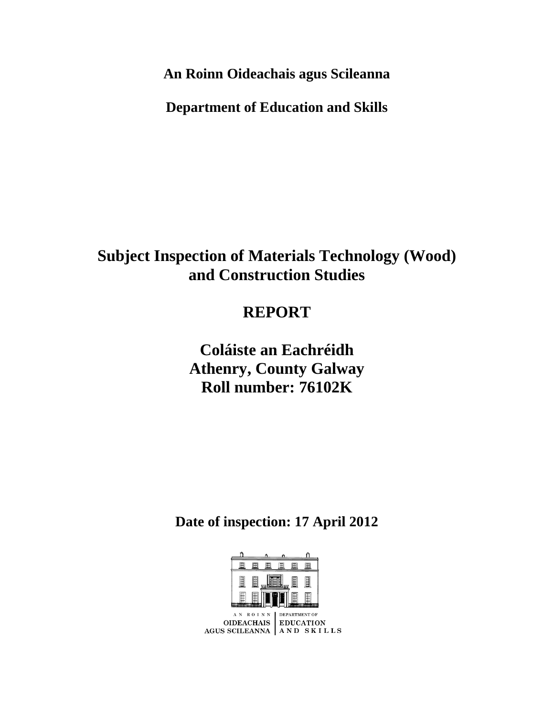**An Roinn Oideachais agus Scileanna**

**Department of Education and Skills**

**Subject Inspection of Materials Technology (Wood) and Construction Studies**

## **REPORT**

**Coláiste an Eachréidh Athenry, County Galway Roll number: 76102K**

**Date of inspection: 17 April 2012**

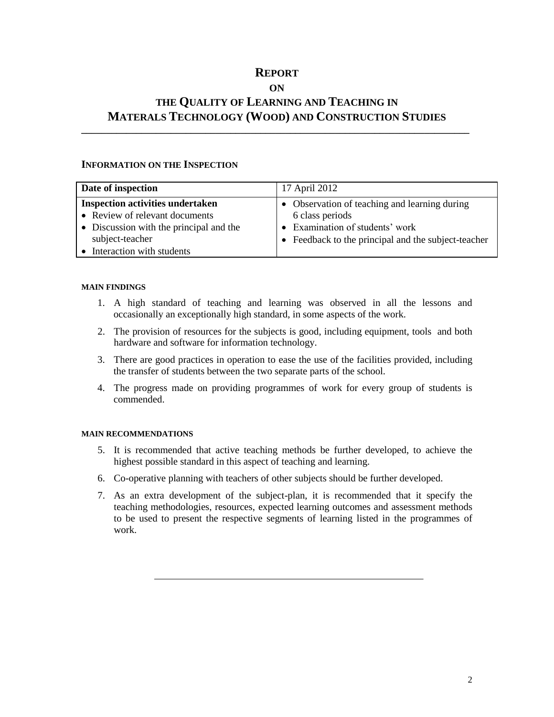### **REPORT**

#### **ON**

## **THE QUALITY OF LEARNING AND TEACHING IN MATERALS TECHNOLOGY (WOOD) AND CONSTRUCTION STUDIES**

**\_\_\_\_\_\_\_\_\_\_\_\_\_\_\_\_\_\_\_\_\_\_\_\_\_\_\_\_\_\_\_\_\_\_\_\_\_\_\_\_\_\_\_\_\_\_\_\_\_\_\_\_\_\_\_\_\_\_\_\_\_\_\_\_\_\_\_\_\_\_\_\_\_\_\_\_\_\_**

#### **INFORMATION ON THE INSPECTION**

| Date of inspection                      | 17 April 2012                                       |
|-----------------------------------------|-----------------------------------------------------|
| <b>Inspection activities undertaken</b> | • Observation of teaching and learning during       |
| • Review of relevant documents          | 6 class periods                                     |
| • Discussion with the principal and the | • Examination of students' work                     |
| subject-teacher                         | • Feedback to the principal and the subject-teacher |
| Interaction with students               |                                                     |

#### **MAIN FINDINGS**

- 1. A high standard of teaching and learning was observed in all the lessons and occasionally an exceptionally high standard, in some aspects of the work.
- 2. The provision of resources for the subjects is good, including equipment, tools and both hardware and software for information technology.
- 3. There are good practices in operation to ease the use of the facilities provided, including the transfer of students between the two separate parts of the school.
- 4. The progress made on providing programmes of work for every group of students is commended.

#### **MAIN RECOMMENDATIONS**

- 5. It is recommended that active teaching methods be further developed, to achieve the highest possible standard in this aspect of teaching and learning.
- 6. Co-operative planning with teachers of other subjects should be further developed.
- 7. As an extra development of the subject-plan, it is recommended that it specify the teaching methodologies, resources, expected learning outcomes and assessment methods to be used to present the respective segments of learning listed in the programmes of work.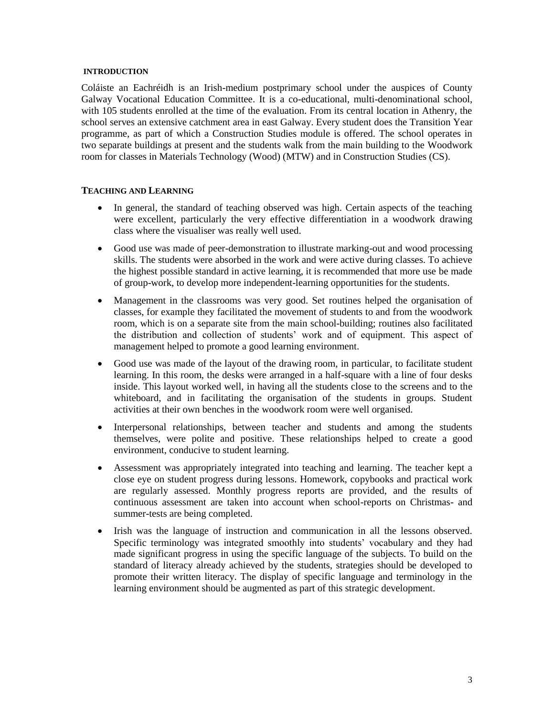#### **INTRODUCTION**

Coláiste an Eachréidh is an Irish-medium postprimary school under the auspices of County Galway Vocational Education Committee. It is a co-educational, multi-denominational school, with 105 students enrolled at the time of the evaluation. From its central location in Athenry, the school serves an extensive catchment area in east Galway. Every student does the Transition Year programme, as part of which a Construction Studies module is offered. The school operates in two separate buildings at present and the students walk from the main building to the Woodwork room for classes in Materials Technology (Wood) (MTW) and in Construction Studies (CS).

#### **TEACHING AND LEARNING**

- In general, the standard of teaching observed was high. Certain aspects of the teaching were excellent, particularly the very effective differentiation in a woodwork drawing class where the visualiser was really well used.
- Good use was made of peer-demonstration to illustrate marking-out and wood processing skills. The students were absorbed in the work and were active during classes. To achieve the highest possible standard in active learning, it is recommended that more use be made of group-work, to develop more independent-learning opportunities for the students.
- Management in the classrooms was very good. Set routines helped the organisation of classes, for example they facilitated the movement of students to and from the woodwork room, which is on a separate site from the main school-building; routines also facilitated the distribution and collection of students' work and of equipment. This aspect of management helped to promote a good learning environment.
- Good use was made of the layout of the drawing room, in particular, to facilitate student learning. In this room, the desks were arranged in a half-square with a line of four desks inside. This layout worked well, in having all the students close to the screens and to the whiteboard, and in facilitating the organisation of the students in groups. Student activities at their own benches in the woodwork room were well organised.
- Interpersonal relationships, between teacher and students and among the students themselves, were polite and positive. These relationships helped to create a good environment, conducive to student learning.
- Assessment was appropriately integrated into teaching and learning. The teacher kept a close eye on student progress during lessons. Homework, copybooks and practical work are regularly assessed. Monthly progress reports are provided, and the results of continuous assessment are taken into account when school-reports on Christmas- and summer-tests are being completed.
- Irish was the language of instruction and communication in all the lessons observed. Specific terminology was integrated smoothly into students' vocabulary and they had made significant progress in using the specific language of the subjects. To build on the standard of literacy already achieved by the students, strategies should be developed to promote their written literacy. The display of specific language and terminology in the learning environment should be augmented as part of this strategic development.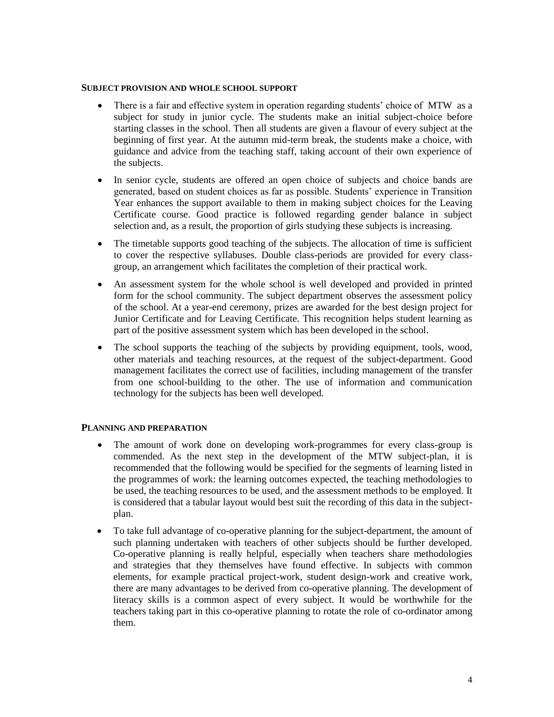#### **SUBJECT PROVISION AND WHOLE SCHOOL SUPPORT**

- There is a fair and effective system in operation regarding students' choice of MTW as a subject for study in junior cycle. The students make an initial subject-choice before starting classes in the school. Then all students are given a flavour of every subject at the beginning of first year. At the autumn mid-term break, the students make a choice, with guidance and advice from the teaching staff, taking account of their own experience of the subjects.
- In senior cycle, students are offered an open choice of subjects and choice bands are generated, based on student choices as far as possible. Students' experience in Transition Year enhances the support available to them in making subject choices for the Leaving Certificate course. Good practice is followed regarding gender balance in subject selection and, as a result, the proportion of girls studying these subjects is increasing.
- The timetable supports good teaching of the subjects. The allocation of time is sufficient to cover the respective syllabuses. Double class-periods are provided for every classgroup, an arrangement which facilitates the completion of their practical work.
- An assessment system for the whole school is well developed and provided in printed form for the school community. The subject department observes the assessment policy of the school. At a year-end ceremony, prizes are awarded for the best design project for Junior Certificate and for Leaving Certificate. This recognition helps student learning as part of the positive assessment system which has been developed in the school.
- The school supports the teaching of the subjects by providing equipment, tools, wood, other materials and teaching resources, at the request of the subject-department. Good management facilitates the correct use of facilities, including management of the transfer from one school-building to the other. The use of information and communication technology for the subjects has been well developed.

#### **PLANNING AND PREPARATION**

- The amount of work done on developing work-programmes for every class-group is commended. As the next step in the development of the MTW subject-plan, it is recommended that the following would be specified for the segments of learning listed in the programmes of work: the learning outcomes expected, the teaching methodologies to be used, the teaching resources to be used, and the assessment methods to be employed. It is considered that a tabular layout would best suit the recording of this data in the subjectplan.
- To take full advantage of co-operative planning for the subject-department, the amount of such planning undertaken with teachers of other subjects should be further developed. Co-operative planning is really helpful, especially when teachers share methodologies and strategies that they themselves have found effective. In subjects with common elements, for example practical project-work, student design-work and creative work, there are many advantages to be derived from co-operative planning. The development of literacy skills is a common aspect of every subject. It would be worthwhile for the teachers taking part in this co-operative planning to rotate the role of co-ordinator among them.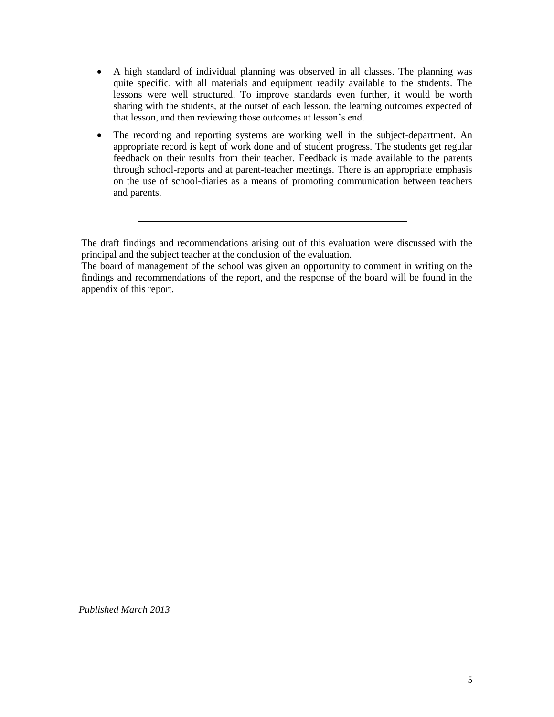- A high standard of individual planning was observed in all classes. The planning was quite specific, with all materials and equipment readily available to the students. The lessons were well structured. To improve standards even further, it would be worth sharing with the students, at the outset of each lesson, the learning outcomes expected of that lesson, and then reviewing those outcomes at lesson's end.
- The recording and reporting systems are working well in the subject-department. An appropriate record is kept of work done and of student progress. The students get regular feedback on their results from their teacher. Feedback is made available to the parents through school-reports and at parent-teacher meetings. There is an appropriate emphasis on the use of school-diaries as a means of promoting communication between teachers and parents.

The draft findings and recommendations arising out of this evaluation were discussed with the principal and the subject teacher at the conclusion of the evaluation.

The board of management of the school was given an opportunity to comment in writing on the findings and recommendations of the report, and the response of the board will be found in the appendix of this report.

*Published March 2013*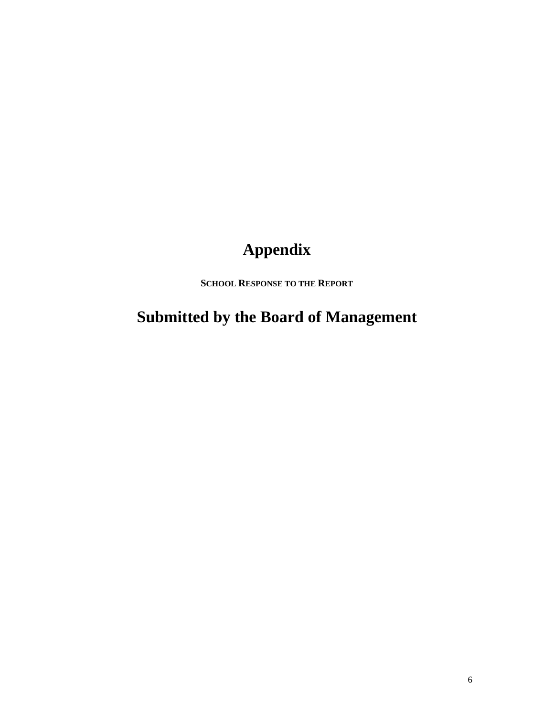# **Appendix**

**SCHOOL RESPONSE TO THE REPORT**

**Submitted by the Board of Management**